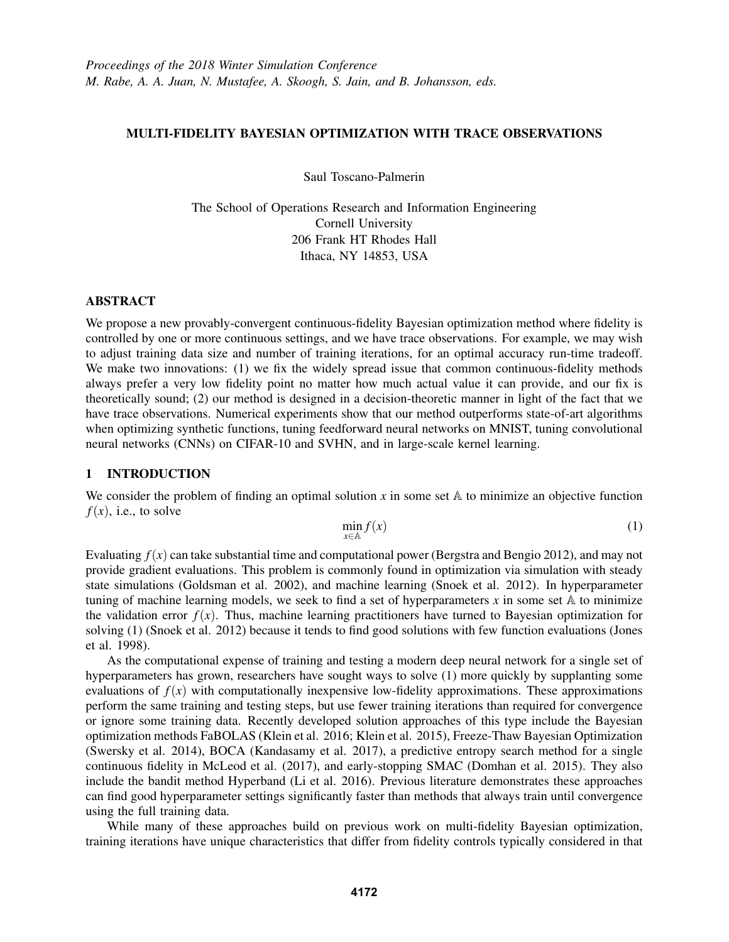# MULTI-FIDELITY BAYESIAN OPTIMIZATION WITH TRACE OBSERVATIONS

Saul Toscano-Palmerin

The School of Operations Research and Information Engineering Cornell University 206 Frank HT Rhodes Hall Ithaca, NY 14853, USA

### ABSTRACT

We propose a new provably-convergent continuous-fidelity Bayesian optimization method where fidelity is controlled by one or more continuous settings, and we have trace observations. For example, we may wish to adjust training data size and number of training iterations, for an optimal accuracy run-time tradeoff. We make two innovations: (1) we fix the widely spread issue that common continuous-fidelity methods always prefer a very low fidelity point no matter how much actual value it can provide, and our fix is theoretically sound; (2) our method is designed in a decision-theoretic manner in light of the fact that we have trace observations. Numerical experiments show that our method outperforms state-of-art algorithms when optimizing synthetic functions, tuning feedforward neural networks on MNIST, tuning convolutional neural networks (CNNs) on CIFAR-10 and SVHN, and in large-scale kernel learning.

## 1 INTRODUCTION

We consider the problem of finding an optimal solution  $x$  in some set  $A$  to minimize an objective function  $f(x)$ , i.e., to solve

$$
\min_{x \in \mathbb{A}} f(x) \tag{1}
$$

Evaluating  $f(x)$  can take substantial time and computational power (Bergstra and Bengio 2012), and may not provide gradient evaluations. This problem is commonly found in optimization via simulation with steady state simulations (Goldsman et al. 2002), and machine learning (Snoek et al. 2012). In hyperparameter tuning of machine learning models, we seek to find a set of hyperparameters  $x$  in some set  $A$  to minimize the validation error  $f(x)$ . Thus, machine learning practitioners have turned to Bayesian optimization for solving (1) (Snoek et al. 2012) because it tends to find good solutions with few function evaluations (Jones et al. 1998).

As the computational expense of training and testing a modern deep neural network for a single set of hyperparameters has grown, researchers have sought ways to solve (1) more quickly by supplanting some evaluations of  $f(x)$  with computationally inexpensive low-fidelity approximations. These approximations perform the same training and testing steps, but use fewer training iterations than required for convergence or ignore some training data. Recently developed solution approaches of this type include the Bayesian optimization methods FaBOLAS (Klein et al. 2016; Klein et al. 2015), Freeze-Thaw Bayesian Optimization (Swersky et al. 2014), BOCA (Kandasamy et al. 2017), a predictive entropy search method for a single continuous fidelity in McLeod et al. (2017), and early-stopping SMAC (Domhan et al. 2015). They also include the bandit method Hyperband (Li et al. 2016). Previous literature demonstrates these approaches can find good hyperparameter settings significantly faster than methods that always train until convergence using the full training data.

While many of these approaches build on previous work on multi-fidelity Bayesian optimization, training iterations have unique characteristics that differ from fidelity controls typically considered in that